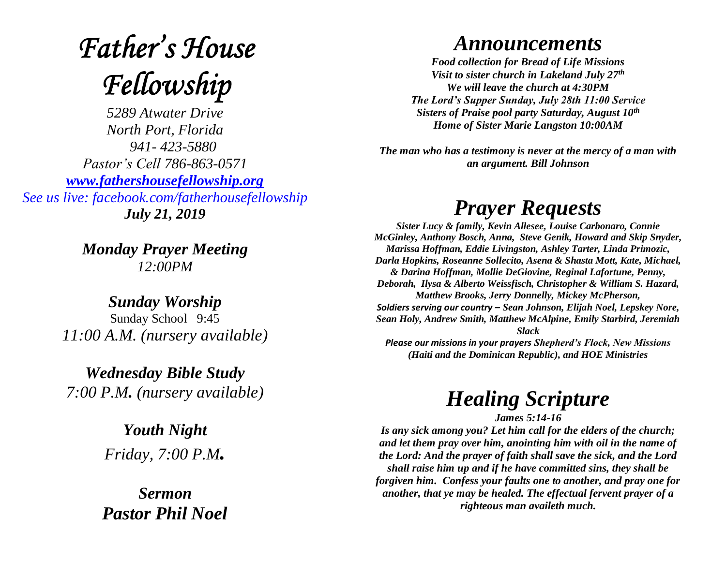# **Father's House** Fellowship

*5289 Atwater Drive North Port, Florida 941- 423-5880 Pastor's Cell 786-863-0571 [www.fathershousefellowship.org](http://www.fathershousefellowship.org/) See us live: facebook.com/fatherhousefellowship July 21, 2019*

> *Monday Prayer Meeting 12:00PM*

*Sunday Worship* Sunday School 9:45 *11:00 A.M. (nursery available)*

*Wednesday Bible Study 7:00 P.M. (nursery available)*

> *Youth Night Friday, 7:00 P.M.*

*Sermon Pastor Phil Noel*

#### *Announcements*

*Food collection for Bread of Life Missions Visit to sister church in Lakeland July 27th We will leave the church at 4:30PM The Lord's Supper Sunday, July 28th 11:00 Service Sisters of Praise pool party Saturday, August 10th Home of Sister Marie Langston 10:00AM*

*The man who has a testimony is never at the mercy of a man with an argument. Bill Johnson*

## *Prayer Requests*

*Sister Lucy & family, Kevin Allesee, Louise Carbonaro, Connie McGinley, Anthony Bosch, Anna, Steve Genik, Howard and Skip Snyder, Marissa Hoffman, Eddie Livingston, Ashley Tarter, Linda Primozic, Darla Hopkins, Roseanne Sollecito, Asena & Shasta Mott, Kate, Michael, & Darina Hoffman, Mollie DeGiovine, Reginal Lafortune, Penny, Deborah, Ilysa & Alberto Weissfisch, Christopher & William S. Hazard, Matthew Brooks, Jerry Donnelly, Mickey McPherson, Soldiers serving our country – Sean Johnson, Elijah Noel, Lepskey Nore, Sean Holy, Andrew Smith, Matthew McAlpine, Emily Starbird, Jeremiah Slack Please our missions in your prayers Shepherd's Flock, New Missions (Haiti and the Dominican Republic), and HOE Ministries*

### *Healing Scripture*

*James 5:14-16*

*Is any sick among you? Let him call for the elders of the church; and let them pray over him, anointing him with oil in the name of the Lord: And the prayer of faith shall save the sick, and the Lord shall raise him up and if he have committed sins, they shall be forgiven him. Confess your faults one to another, and pray one for another, that ye may be healed. The effectual fervent prayer of a righteous man availeth much.*